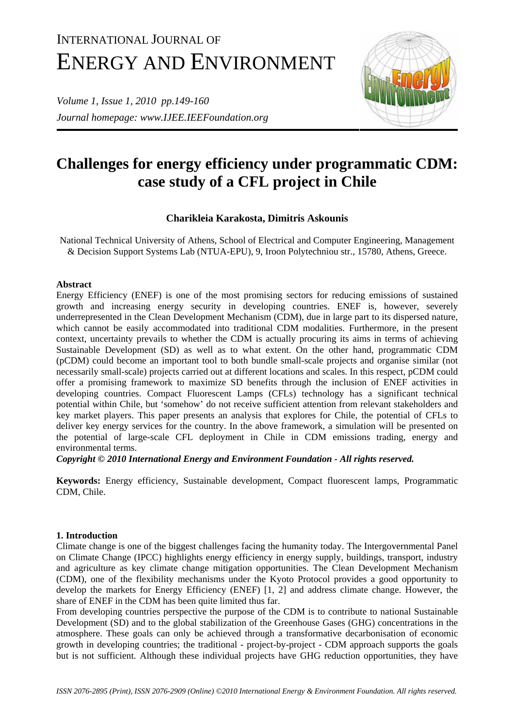# INTERNATIONAL JOURNAL OF ENERGY AND ENVIRONMENT

*Volume 1, Issue 1, 2010 pp.149-160 Journal homepage: www.IJEE.IEEFoundation.org* 



# **Challenges for energy efficiency under programmatic CDM: case study of a CFL project in Chile**

# **Charikleia Karakosta, Dimitris Askounis**

National Technical University of Athens, School of Electrical and Computer Engineering, Management & Decision Support Systems Lab (NTUA-EPU), 9, Iroon Polytechniou str., 15780, Athens, Greece.

### **Abstract**

Energy Efficiency (ENEF) is one of the most promising sectors for reducing emissions of sustained growth and increasing energy security in developing countries. ENEF is, however, severely underrepresented in the Clean Development Mechanism (CDM), due in large part to its dispersed nature, which cannot be easily accommodated into traditional CDM modalities. Furthermore, in the present context, uncertainty prevails to whether the CDM is actually procuring its aims in terms of achieving Sustainable Development (SD) as well as to what extent. On the other hand, programmatic CDM (pCDM) could become an important tool to both bundle small-scale projects and organise similar (not necessarily small-scale) projects carried out at different locations and scales. In this respect, pCDM could offer a promising framework to maximize SD benefits through the inclusion of ENEF activities in developing countries. Compact Fluorescent Lamps (CFLs) technology has a significant technical potential within Chile, but 'somehow' do not receive sufficient attention from relevant stakeholders and key market players. This paper presents an analysis that explores for Chile, the potential of CFLs to deliver key energy services for the country. In the above framework, a simulation will be presented on the potential of large-scale CFL deployment in Chile in CDM emissions trading, energy and environmental terms.

*Copyright © 2010 International Energy and Environment Foundation - All rights reserved.*

**Keywords:** Energy efficiency, Sustainable development, Compact fluorescent lamps, Programmatic CDM, Chile.

## **1. Introduction**

Climate change is one of the biggest challenges facing the humanity today. The Intergovernmental Panel on Climate Change (IPCC) highlights energy efficiency in energy supply, buildings, transport, industry and agriculture as key climate change mitigation opportunities. The Clean Development Mechanism (CDM), one of the flexibility mechanisms under the Kyoto Protocol provides a good opportunity to develop the markets for Energy Efficiency (ENEF) [1, 2] and address climate change. However, the share of ENEF in the CDM has been quite limited thus far.

From developing countries perspective the purpose of the CDM is to contribute to national Sustainable Development (SD) and to the global stabilization of the Greenhouse Gases (GHG) concentrations in the atmosphere. These goals can only be achieved through a transformative decarbonisation of economic growth in developing countries; the traditional - project-by-project - CDM approach supports the goals but is not sufficient. Although these individual projects have GHG reduction opportunities, they have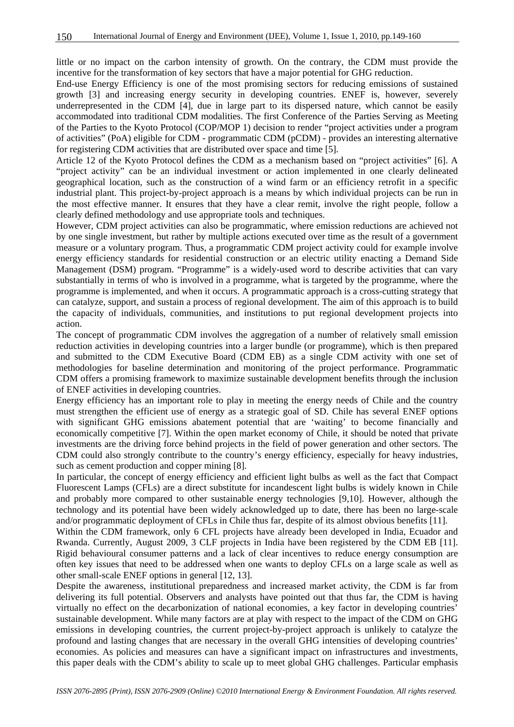little or no impact on the carbon intensity of growth. On the contrary, the CDM must provide the incentive for the transformation of key sectors that have a major potential for GHG reduction.

End-use Energy Efficiency is one of the most promising sectors for reducing emissions of sustained growth [3] and increasing energy security in developing countries. ENEF is, however, severely underrepresented in the CDM [4], due in large part to its dispersed nature, which cannot be easily accommodated into traditional CDM modalities. The first Conference of the Parties Serving as Meeting of the Parties to the Kyoto Protocol (COP/MOP 1) decision to render "project activities under a program of activities" (PoA) eligible for CDM - programmatic CDM (pCDM) - provides an interesting alternative for registering CDM activities that are distributed over space and time [5].

Article 12 of the Kyoto Protocol defines the CDM as a mechanism based on "project activities" [6]. A "project activity" can be an individual investment or action implemented in one clearly delineated geographical location, such as the construction of a wind farm or an efficiency retrofit in a specific industrial plant. This project-by-project approach is a means by which individual projects can be run in the most effective manner. It ensures that they have a clear remit, involve the right people, follow a clearly defined methodology and use appropriate tools and techniques.

However, CDM project activities can also be programmatic, where emission reductions are achieved not by one single investment, but rather by multiple actions executed over time as the result of a government measure or a voluntary program. Thus, a programmatic CDM project activity could for example involve energy efficiency standards for residential construction or an electric utility enacting a Demand Side Management (DSM) program. "Programme" is a widely-used word to describe activities that can vary substantially in terms of who is involved in a programme, what is targeted by the programme, where the programme is implemented, and when it occurs. A programmatic approach is a cross-cutting strategy that can catalyze, support, and sustain a process of regional development. The aim of this approach is to build the capacity of individuals, communities, and institutions to put regional development projects into action.

The concept of programmatic CDM involves the aggregation of a number of relatively small emission reduction activities in developing countries into a larger bundle (or programme), which is then prepared and submitted to the CDM Executive Board (CDM EB) as a single CDM activity with one set of methodologies for baseline determination and monitoring of the project performance. Programmatic CDM offers a promising framework to maximize sustainable development benefits through the inclusion of ENEF activities in developing countries.

Energy efficiency has an important role to play in meeting the energy needs of Chile and the country must strengthen the efficient use of energy as a strategic goal of SD. Chile has several ENEF options with significant GHG emissions abatement potential that are 'waiting' to become financially and economically competitive [7]. Within the open market economy of Chile, it should be noted that private investments are the driving force behind projects in the field of power generation and other sectors. The CDM could also strongly contribute to the country's energy efficiency, especially for heavy industries, such as cement production and copper mining [8].

In particular, the concept of energy efficiency and efficient light bulbs as well as the fact that Compact Fluorescent Lamps (CFLs) are a direct substitute for incandescent light bulbs is widely known in Chile and probably more compared to other sustainable energy technologies [9,10]. However, although the technology and its potential have been widely acknowledged up to date, there has been no large-scale and/or programmatic deployment of CFLs in Chile thus far, despite of its almost obvious benefits [11].

Within the CDM framework, only 6 CFL projects have already been developed in India, Ecuador and Rwanda. Currently, August 2009, 3 CLF projects in India have been registered by the CDM EB [11]. Rigid behavioural consumer patterns and a lack of clear incentives to reduce energy consumption are often key issues that need to be addressed when one wants to deploy CFLs on a large scale as well as other small-scale ENEF options in general [12, 13].

Despite the awareness, institutional preparedness and increased market activity, the CDM is far from delivering its full potential. Observers and analysts have pointed out that thus far, the CDM is having virtually no effect on the decarbonization of national economies, a key factor in developing countries' sustainable development. While many factors are at play with respect to the impact of the CDM on GHG emissions in developing countries, the current project-by-project approach is unlikely to catalyze the profound and lasting changes that are necessary in the overall GHG intensities of developing countries' economies. As policies and measures can have a significant impact on infrastructures and investments, this paper deals with the CDM's ability to scale up to meet global GHG challenges. Particular emphasis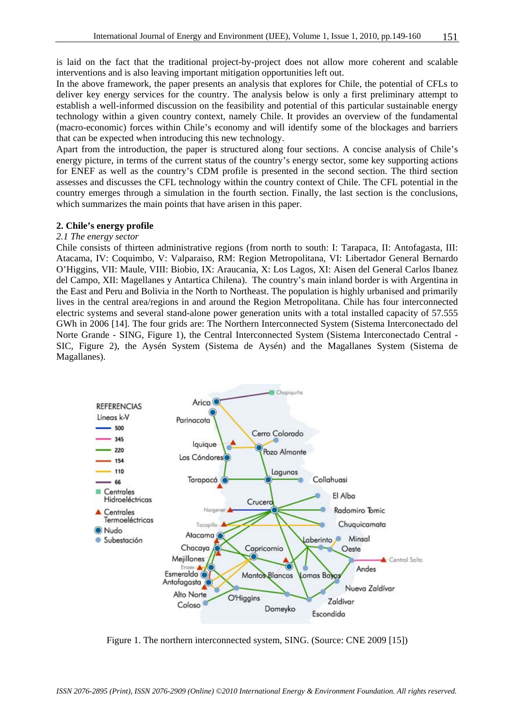is laid on the fact that the traditional project-by-project does not allow more coherent and scalable interventions and is also leaving important mitigation opportunities left out.

In the above framework, the paper presents an analysis that explores for Chile, the potential of CFLs to deliver key energy services for the country. The analysis below is only a first preliminary attempt to establish a well-informed discussion on the feasibility and potential of this particular sustainable energy technology within a given country context, namely Chile. It provides an overview of the fundamental (macro-economic) forces within Chile's economy and will identify some of the blockages and barriers that can be expected when introducing this new technology.

Apart from the introduction, the paper is structured along four sections. A concise analysis of Chile's energy picture, in terms of the current status of the country's energy sector, some key supporting actions for ENEF as well as the country's CDM profile is presented in the second section. The third section assesses and discusses the CFL technology within the country context of Chile. The CFL potential in the country emerges through a simulation in the fourth section. Finally, the last section is the conclusions, which summarizes the main points that have arisen in this paper.

#### **2. Chile's energy profile**

#### *2.1 The energy sector*

Chile consists of thirteen administrative regions (from north to south: I: Tarapaca, II: Antofagasta, III: Atacama, IV: Coquimbo, V: Valparaiso, RM: Region Metropolitana, VI: Libertador General Bernardo O'Higgins, VII: Maule, VIII: Biobio, IX: Araucania, X: Los Lagos, XI: Aisen del General Carlos Ibanez del Campo, XII: Magellanes y Antartica Chilena). The country's main inland border is with Argentina in the East and Peru and Bolivia in the North to Northeast. The population is highly urbanised and primarily lives in the central area/regions in and around the Region Metropolitana. Chile has four interconnected electric systems and several stand-alone power generation units with a total installed capacity of 57.555 GWh in 2006 [14]. The four grids are: The Northern Interconnected System (Sistema Interconectado del Norte Grande - SING, Figure 1), the Central Interconnected System (Sistema Interconectado Central - SIC, Figure 2), the Aysén System (Sistema de Aysén) and the Magallanes System (Sistema de Magallanes).



Figure 1. The northern interconnected system, SING. (Source: CNE 2009 [15])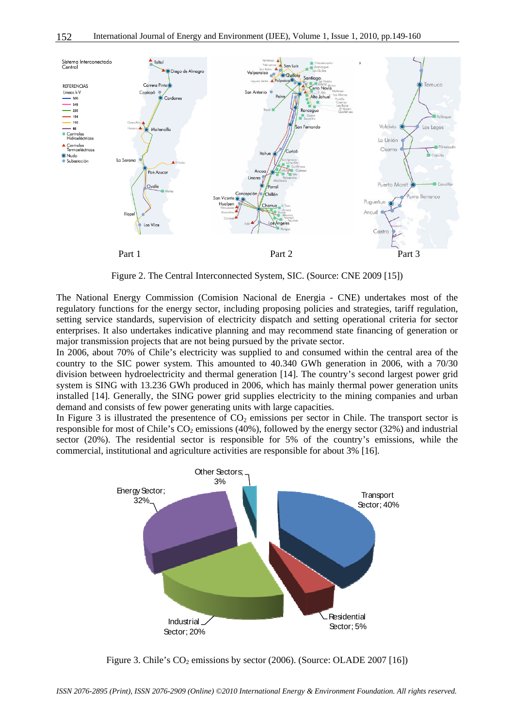

Figure 2. The Central Interconnected System, SIC. (Source: CNE 2009 [15])

The National Energy Commission (Comision Nacional de Energia - CNE) undertakes most of the regulatory functions for the energy sector, including proposing policies and strategies, tariff regulation, setting service standards, supervision of electricity dispatch and setting operational criteria for sector enterprises. It also undertakes indicative planning and may recommend state financing of generation or major transmission projects that are not being pursued by the private sector.

In 2006, about 70% of Chile's electricity was supplied to and consumed within the central area of the country to the SIC power system. This amounted to 40.340 GWh generation in 2006, with a 70/30 division between hydroelectricity and thermal generation [14]. The country's second largest power grid system is SING with 13.236 GWh produced in 2006, which has mainly thermal power generation units installed [14]. Generally, the SING power grid supplies electricity to the mining companies and urban demand and consists of few power generating units with large capacities.

In Figure 3 is illustrated the presentence of  $CO<sub>2</sub>$  emissions per sector in Chile. The transport sector is responsible for most of Chile's  $CO<sub>2</sub>$  emissions (40%), followed by the energy sector (32%) and industrial sector (20%). The residential sector is responsible for 5% of the country's emissions, while the commercial, institutional and agriculture activities are responsible for about 3% [16].



Figure 3. Chile's  $CO_2$  emissions by sector (2006). (Source: OLADE 2007 [16])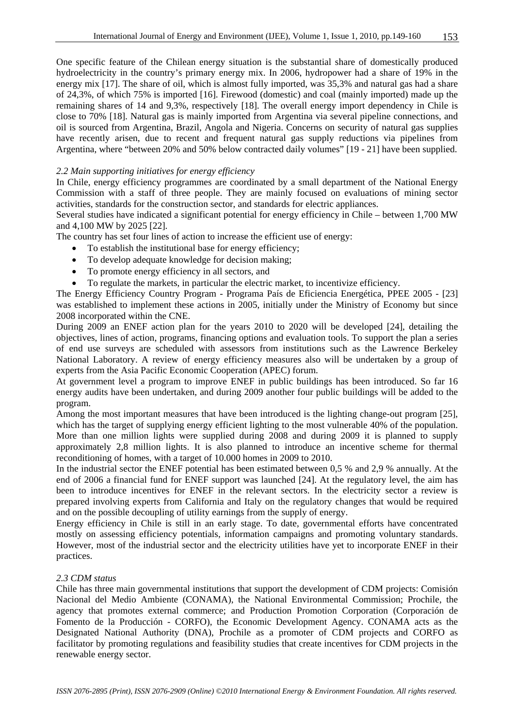One specific feature of the Chilean energy situation is the substantial share of domestically produced hydroelectricity in the country's primary energy mix. In 2006, hydropower had a share of 19% in the energy mix [17]. The share of oil, which is almost fully imported, was 35,3% and natural gas had a share of 24,3%, of which 75% is imported [16]. Firewood (domestic) and coal (mainly imported) made up the remaining shares of 14 and 9,3%, respectively [18]. The overall energy import dependency in Chile is close to 70% [18]. Natural gas is mainly imported from Argentina via several pipeline connections, and oil is sourced from Argentina, Brazil, Angola and Nigeria. Concerns on security of natural gas supplies have recently arisen, due to recent and frequent natural gas supply reductions via pipelines from Argentina, where "between 20% and 50% below contracted daily volumes" [19 - 21] have been supplied.

#### *2.2 Main supporting initiatives for energy efficiency*

In Chile, energy efficiency programmes are coordinated by a small department of the National Energy Commission with a staff of three people. They are mainly focused on evaluations of mining sector activities, standards for the construction sector, and standards for electric appliances.

Several studies have indicated a significant potential for energy efficiency in Chile – between 1,700 MW and 4,100 MW by 2025 [22].

The country has set four lines of action to increase the efficient use of energy:

- To establish the institutional base for energy efficiency;
- To develop adequate knowledge for decision making;
- To promote energy efficiency in all sectors, and
- To regulate the markets, in particular the electric market, to incentivize efficiency.

The Energy Efficiency Country Program - Programa País de Eficiencia Energética, PPEE 2005 - [23] was established to implement these actions in 2005, initially under the Ministry of Economy but since 2008 incorporated within the CNE.

During 2009 an ENEF action plan for the years 2010 to 2020 will be developed [24], detailing the objectives, lines of action, programs, financing options and evaluation tools. To support the plan a series of end use surveys are scheduled with assessors from institutions such as the Lawrence Berkeley National Laboratory. A review of energy efficiency measures also will be undertaken by a group of experts from the Asia Pacific Economic Cooperation (APEC) forum.

At government level a program to improve ENEF in public buildings has been introduced. So far 16 energy audits have been undertaken, and during 2009 another four public buildings will be added to the program.

Among the most important measures that have been introduced is the lighting change-out program [25], which has the target of supplying energy efficient lighting to the most vulnerable 40% of the population. More than one million lights were supplied during 2008 and during 2009 it is planned to supply approximately 2,8 million lights. It is also planned to introduce an incentive scheme for thermal reconditioning of homes, with a target of 10.000 homes in 2009 to 2010.

In the industrial sector the ENEF potential has been estimated between 0,5 % and 2,9 % annually. At the end of 2006 a financial fund for ENEF support was launched [24]. At the regulatory level, the aim has been to introduce incentives for ENEF in the relevant sectors. In the electricity sector a review is prepared involving experts from California and Italy on the regulatory changes that would be required and on the possible decoupling of utility earnings from the supply of energy.

Energy efficiency in Chile is still in an early stage. To date, governmental efforts have concentrated mostly on assessing efficiency potentials, information campaigns and promoting voluntary standards. However, most of the industrial sector and the electricity utilities have yet to incorporate ENEF in their practices.

#### *2.3 CDM status*

Chile has three main governmental institutions that support the development of CDM projects: Comisión Nacional del Medio Ambiente (CONAMA), the National Environmental Commission; Prochile, the agency that promotes external commerce; and Production Promotion Corporation (Corporación de Fomento de la Producción - CORFO), the Economic Development Agency. CONAMA acts as the Designated National Authority (DNA), Prochile as a promoter of CDM projects and CORFO as facilitator by promoting regulations and feasibility studies that create incentives for CDM projects in the renewable energy sector.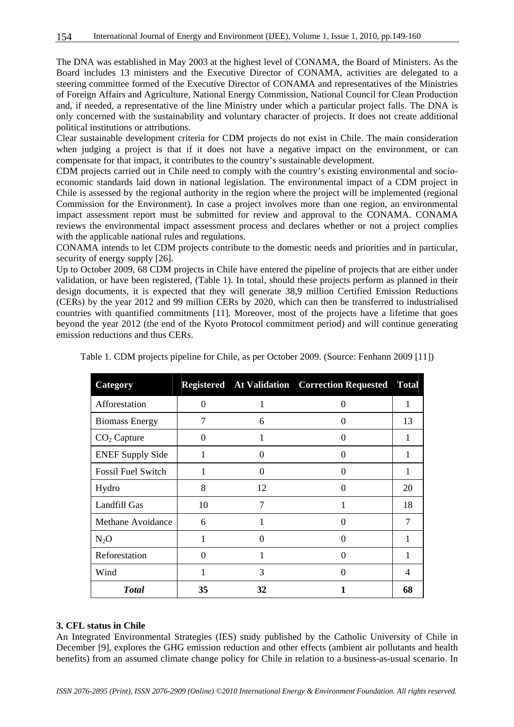The DNA was established in May 2003 at the highest level of CONAMA, the Board of Ministers. As the Board includes 13 ministers and the Executive Director of CONAMA, activities are delegated to a steering committee formed of the Executive Director of CONAMA and representatives of the Ministries of Foreign Affairs and Agriculture, National Energy Commission, National Council for Clean Production and, if needed, a representative of the line Ministry under which a particular project falls. The DNA is only concerned with the sustainability and voluntary character of projects. It does not create additional political institutions or attributions.

Clear sustainable development criteria for CDM projects do not exist in Chile. The main consideration when judging a project is that if it does not have a negative impact on the environment, or can compensate for that impact, it contributes to the country's sustainable development.

CDM projects carried out in Chile need to comply with the country's existing environmental and socioeconomic standards laid down in national legislation. The environmental impact of a CDM project in Chile is assessed by the regional authority in the region where the project will be implemented (regional Commission for the Environment). In case a project involves more than one region, an environmental impact assessment report must be submitted for review and approval to the CONAMA. CONAMA reviews the environmental impact assessment process and declares whether or not a project complies with the applicable national rules and regulations.

CONAMA intends to let CDM projects contribute to the domestic needs and priorities and in particular, security of energy supply [26].

Up to October 2009, 68 CDM projects in Chile have entered the pipeline of projects that are either under validation, or have been registered, (Table 1). In total, should these projects perform as planned in their design documents, it is expected that they will generate 38,9 million Certified Emission Reductions (CERs) by the year 2012 and 99 million CERs by 2020, which can then be transferred to industrialised countries with quantified commitments [11]. Moreover, most of the projects have a lifetime that goes beyond the year 2012 (the end of the Kyoto Protocol commitment period) and will continue generating emission reductions and thus CERs.

| Category                  |          |                | <b>Registered</b> At Validation Correction Requested | <b>Total</b>   |
|---------------------------|----------|----------------|------------------------------------------------------|----------------|
| Afforestation             | $\Omega$ | 1              | 0                                                    | 1              |
| <b>Biomass Energy</b>     | 7        | 6              | 0                                                    | 13             |
| $CO2$ Capture             | $\Omega$ | 1              | $\Omega$                                             |                |
| <b>ENEF Supply Side</b>   | 1        | $\Omega$       | 0                                                    | 1              |
| <b>Fossil Fuel Switch</b> | 1        | $\Omega$       | $\mathbf{\Omega}$                                    | 1              |
| Hydro                     | 8        | 12             |                                                      | 20             |
| Landfill Gas              | 10       | $\overline{7}$ |                                                      | 18             |
| Methane Avoidance         | 6        |                | 0                                                    | $\overline{7}$ |
| $N_2O$                    | 1        | 0              | 0                                                    | 1              |
| Reforestation             | $\Omega$ |                | 0                                                    | 1              |
| Wind                      | 1        | 3              | 0                                                    | 4              |
| <b>Total</b>              | 35       | 32             |                                                      | 68             |

Table 1. CDM projects pipeline for Chile, as per October 2009. (Source: Fenhann 2009 [11])

#### **3. CFL status in Chile**

An Integrated Environmental Strategies (IES) study published by the Catholic University of Chile in December [9], explores the GHG emission reduction and other effects (ambient air pollutants and health benefits) from an assumed climate change policy for Chile in relation to a business-as-usual scenario. In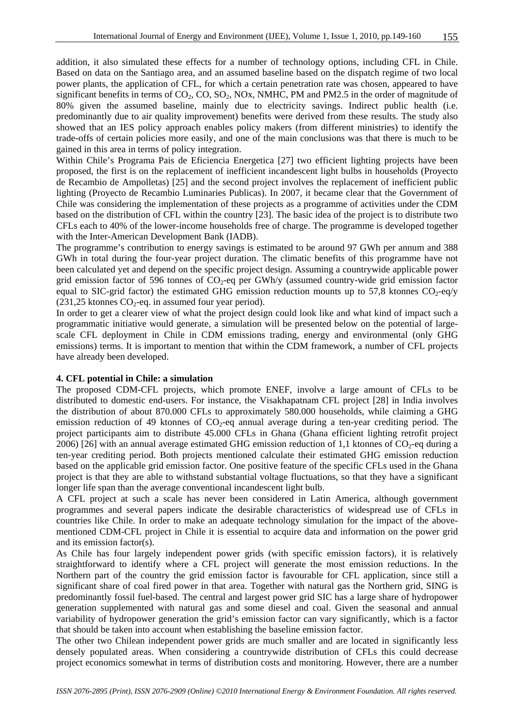addition, it also simulated these effects for a number of technology options, including CFL in Chile. Based on data on the Santiago area, and an assumed baseline based on the dispatch regime of two local power plants, the application of CFL, for which a certain penetration rate was chosen, appeared to have significant benefits in terms of  $CO_2$ ,  $CO$ ,  $SO_2$ ,  $NOx$ ,  $NMHC$ ,  $PM$  and  $PM2.5$  in the order of magnitude of 80% given the assumed baseline, mainly due to electricity savings. Indirect public health (i.e. predominantly due to air quality improvement) benefits were derived from these results. The study also showed that an IES policy approach enables policy makers (from different ministries) to identify the trade-offs of certain policies more easily, and one of the main conclusions was that there is much to be gained in this area in terms of policy integration.

Within Chile's Programa Pais de Eficiencia Energetica [27] two efficient lighting projects have been proposed, the first is on the replacement of inefficient incandescent light bulbs in households (Proyecto de Recambio de Ampolletas) [25] and the second project involves the replacement of inefficient public lighting (Proyecto de Recambio Luminaries Publicas). In 2007, it became clear that the Government of Chile was considering the implementation of these projects as a programme of activities under the CDM based on the distribution of CFL within the country [23]. The basic idea of the project is to distribute two CFLs each to 40% of the lower-income households free of charge. The programme is developed together with the Inter-American Development Bank (IADB).

The programme's contribution to energy savings is estimated to be around 97 GWh per annum and 388 GWh in total during the four-year project duration. The climatic benefits of this programme have not been calculated yet and depend on the specific project design. Assuming a countrywide applicable power grid emission factor of 596 tonnes of  $CO<sub>2</sub>$ -eq per GWh/y (assumed country-wide grid emission factor equal to SIC-grid factor) the estimated GHG emission reduction mounts up to 57,8 ktonnes  $CO<sub>2</sub>$ -eq/y  $(231,25 \text{ ktonnes CO}_2\text{-eq.} \text{ in assumed four year period}).$ 

In order to get a clearer view of what the project design could look like and what kind of impact such a programmatic initiative would generate, a simulation will be presented below on the potential of largescale CFL deployment in Chile in CDM emissions trading, energy and environmental (only GHG emissions) terms. It is important to mention that within the CDM framework, a number of CFL projects have already been developed.

#### **4. CFL potential in Chile: a simulation**

The proposed CDM-CFL projects, which promote ENEF, involve a large amount of CFLs to be distributed to domestic end-users. For instance, the Visakhapatnam CFL project [28] in India involves the distribution of about 870.000 CFLs to approximately 580.000 households, while claiming a GHG emission reduction of 49 ktonnes of  $CO<sub>2</sub>$ -eq annual average during a ten-year crediting period. The project participants aim to distribute 45.000 CFLs in Ghana (Ghana efficient lighting retrofit project 2006) [26] with an annual average estimated GHG emission reduction of 1,1 ktonnes of  $CO<sub>2</sub>$ -eq during a ten-year crediting period. Both projects mentioned calculate their estimated GHG emission reduction based on the applicable grid emission factor. One positive feature of the specific CFLs used in the Ghana project is that they are able to withstand substantial voltage fluctuations, so that they have a significant longer life span than the average conventional incandescent light bulb.

A CFL project at such a scale has never been considered in Latin America, although government programmes and several papers indicate the desirable characteristics of widespread use of CFLs in countries like Chile. In order to make an adequate technology simulation for the impact of the abovementioned CDM-CFL project in Chile it is essential to acquire data and information on the power grid and its emission factor(s).

As Chile has four largely independent power grids (with specific emission factors), it is relatively straightforward to identify where a CFL project will generate the most emission reductions. In the Northern part of the country the grid emission factor is favourable for CFL application, since still a significant share of coal fired power in that area. Together with natural gas the Northern grid, SING is predominantly fossil fuel-based. The central and largest power grid SIC has a large share of hydropower generation supplemented with natural gas and some diesel and coal. Given the seasonal and annual variability of hydropower generation the grid's emission factor can vary significantly, which is a factor that should be taken into account when establishing the baseline emission factor.

The other two Chilean independent power grids are much smaller and are located in significantly less densely populated areas. When considering a countrywide distribution of CFLs this could decrease project economics somewhat in terms of distribution costs and monitoring. However, there are a number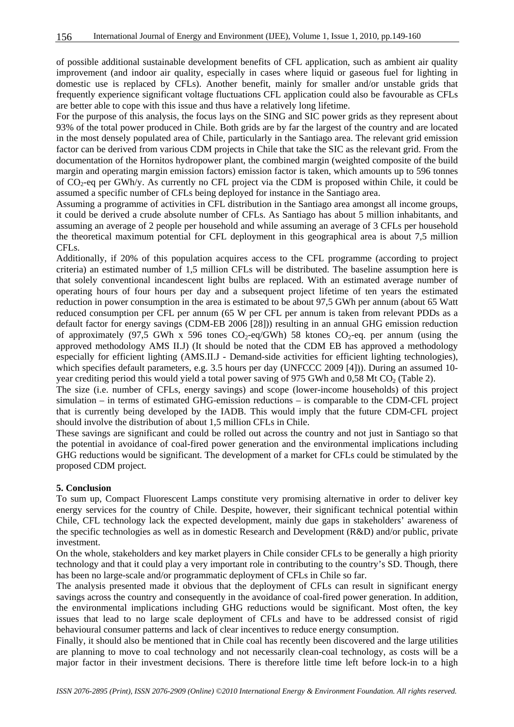of possible additional sustainable development benefits of CFL application, such as ambient air quality improvement (and indoor air quality, especially in cases where liquid or gaseous fuel for lighting in domestic use is replaced by CFLs). Another benefit, mainly for smaller and/or unstable grids that frequently experience significant voltage fluctuations CFL application could also be favourable as CFLs are better able to cope with this issue and thus have a relatively long lifetime.

For the purpose of this analysis, the focus lays on the SING and SIC power grids as they represent about 93% of the total power produced in Chile. Both grids are by far the largest of the country and are located in the most densely populated area of Chile, particularly in the Santiago area. The relevant grid emission factor can be derived from various CDM projects in Chile that take the SIC as the relevant grid. From the documentation of the Hornitos hydropower plant, the combined margin (weighted composite of the build margin and operating margin emission factors) emission factor is taken, which amounts up to 596 tonnes of CO<sub>2</sub>-eq per GWh/y. As currently no CFL project via the CDM is proposed within Chile, it could be assumed a specific number of CFLs being deployed for instance in the Santiago area.

Assuming a programme of activities in CFL distribution in the Santiago area amongst all income groups, it could be derived a crude absolute number of CFLs. As Santiago has about 5 million inhabitants, and assuming an average of 2 people per household and while assuming an average of 3 CFLs per household the theoretical maximum potential for CFL deployment in this geographical area is about 7,5 million CFL<sub>s</sub>.

Additionally, if 20% of this population acquires access to the CFL programme (according to project criteria) an estimated number of 1,5 million CFLs will be distributed. The baseline assumption here is that solely conventional incandescent light bulbs are replaced. With an estimated average number of operating hours of four hours per day and a subsequent project lifetime of ten years the estimated reduction in power consumption in the area is estimated to be about 97,5 GWh per annum (about 65 Watt reduced consumption per CFL per annum (65 W per CFL per annum is taken from relevant PDDs as a default factor for energy savings (CDM-EB 2006 [28])) resulting in an annual GHG emission reduction of approximately (97,5 GWh x 596 tones  $CO_2$ -eq/GWh) 58 ktones  $CO_2$ -eq. per annum (using the approved methodology AMS II.J) (It should be noted that the CDM EB has approved a methodology especially for efficient lighting (AMS.II.J - Demand-side activities for efficient lighting technologies), which specifies default parameters, e.g. 3.5 hours per day (UNFCCC 2009 [4])). During an assumed 10 year crediting period this would yield a total power saving of 975 GWh and 0,58 Mt  $CO<sub>2</sub>$  (Table 2).

The size (i.e. number of CFLs, energy savings) and scope (lower-income households) of this project simulation – in terms of estimated GHG-emission reductions – is comparable to the CDM-CFL project that is currently being developed by the IADB. This would imply that the future CDM-CFL project should involve the distribution of about 1,5 million CFLs in Chile.

These savings are significant and could be rolled out across the country and not just in Santiago so that the potential in avoidance of coal-fired power generation and the environmental implications including GHG reductions would be significant. The development of a market for CFLs could be stimulated by the proposed CDM project.

#### **5. Conclusion**

To sum up, Compact Fluorescent Lamps constitute very promising alternative in order to deliver key energy services for the country of Chile. Despite, however, their significant technical potential within Chile, CFL technology lack the expected development, mainly due gaps in stakeholders' awareness of the specific technologies as well as in domestic Research and Development (R&D) and/or public, private investment.

On the whole, stakeholders and key market players in Chile consider CFLs to be generally a high priority technology and that it could play a very important role in contributing to the country's SD. Though, there has been no large-scale and/or programmatic deployment of CFLs in Chile so far.

The analysis presented made it obvious that the deployment of CFLs can result in significant energy savings across the country and consequently in the avoidance of coal-fired power generation. In addition, the environmental implications including GHG reductions would be significant. Most often, the key issues that lead to no large scale deployment of CFLs and have to be addressed consist of rigid behavioural consumer patterns and lack of clear incentives to reduce energy consumption.

Finally, it should also be mentioned that in Chile coal has recently been discovered and the large utilities are planning to move to coal technology and not necessarily clean-coal technology, as costs will be a major factor in their investment decisions. There is therefore little time left before lock-in to a high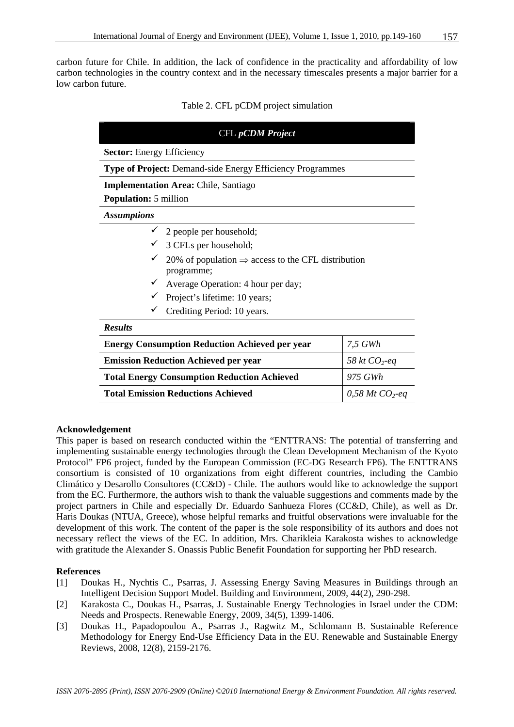carbon future for Chile. In addition, the lack of confidence in the practicality and affordability of low carbon technologies in the country context and in the necessary timescales presents a major barrier for a low carbon future.

#### Table 2. CFL pCDM project simulation

| <b>CFL</b> pCDM Project                                          |                                                                                           |                               |  |  |
|------------------------------------------------------------------|-------------------------------------------------------------------------------------------|-------------------------------|--|--|
| <b>Sector:</b> Energy Efficiency                                 |                                                                                           |                               |  |  |
| <b>Type of Project:</b> Demand-side Energy Efficiency Programmes |                                                                                           |                               |  |  |
| <b>Implementation Area:</b> Chile, Santiago                      |                                                                                           |                               |  |  |
| <b>Population:</b> 5 million                                     |                                                                                           |                               |  |  |
| <b>Assumptions</b>                                               |                                                                                           |                               |  |  |
|                                                                  | $\checkmark$ 2 people per household;                                                      |                               |  |  |
|                                                                  | $\checkmark$ 3 CFLs per household;                                                        |                               |  |  |
|                                                                  | $\checkmark$ 20% of population $\Rightarrow$ access to the CFL distribution<br>programme; |                               |  |  |
|                                                                  | $\checkmark$ Average Operation: 4 hour per day;                                           |                               |  |  |
|                                                                  | Project's lifetime: 10 years;                                                             |                               |  |  |
|                                                                  | Crediting Period: 10 years.                                                               |                               |  |  |
| <b>Results</b>                                                   |                                                                                           |                               |  |  |
| <b>Energy Consumption Reduction Achieved per year</b>            |                                                                                           | 7,5 GWh                       |  |  |
| <b>Emission Reduction Achieved per year</b>                      |                                                                                           | 58 kt $CO_2$ -eq              |  |  |
| <b>Total Energy Consumption Reduction Achieved</b>               |                                                                                           | 975 GWh                       |  |  |
| <b>Total Emission Reductions Achieved</b>                        |                                                                                           | $0,58$ Mt CO <sub>2</sub> -eq |  |  |

#### **Acknowledgement**

This paper is based on research conducted within the "ENTTRANS: The potential of transferring and implementing sustainable energy technologies through the Clean Development Mechanism of the Kyoto Protocol" FP6 project, funded by the European Commission (EC-DG Research FP6). The ENTTRANS consortium is consisted of 10 organizations from eight different countries, including the Cambio Climático y Desarollo Consultores (CC&D) - Chile. The authors would like to acknowledge the support from the EC. Furthermore, the authors wish to thank the valuable suggestions and comments made by the project partners in Chile and especially Dr. Eduardo Sanhueza Flores (CC&D, Chile), as well as Dr. Haris Doukas (NTUA, Greece), whose helpful remarks and fruitful observations were invaluable for the development of this work. The content of the paper is the sole responsibility of its authors and does not necessary reflect the views of the EC. In addition, Mrs. Charikleia Karakosta wishes to acknowledge with gratitude the Alexander S. Onassis Public Benefit Foundation for supporting her PhD research.

#### **References**

- [1] Doukas H., Nychtis C., Psarras, J. Assessing Energy Saving Measures in Buildings through an Intelligent Decision Support Model. Building and Environment, 2009, 44(2), 290-298.
- [2] Karakosta C., Doukas H., Psarras, J. Sustainable Energy Technologies in Israel under the CDM: Needs and Prospects. Renewable Energy, 2009, 34(5), 1399-1406.
- [3] Doukas H., Papadopoulou A., Psarras J., Ragwitz M., Schlomann B. Sustainable Reference Methodology for Energy End-Use Efficiency Data in the EU. Renewable and Sustainable Energy Reviews, 2008, 12(8), 2159-2176.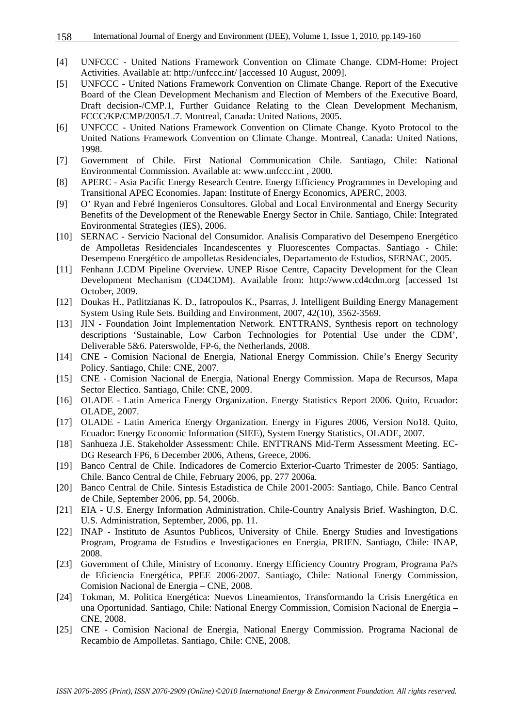- [4] UNFCCC United Nations Framework Convention on Climate Change. CDM-Home: Project Activities. Available at: http://unfccc.int/ [accessed 10 August, 2009].
- [5] UNFCCC United Nations Framework Convention on Climate Change. Report of the Executive Board of the Clean Development Mechanism and Election of Members of the Executive Board, Draft decision-/CMP.1, Further Guidance Relating to the Clean Development Mechanism, FCCC/KP/CMP/2005/L.7. Montreal, Canada: United Nations, 2005.
- [6] UNFCCC United Nations Framework Convention on Climate Change. Kyoto Protocol to the United Nations Framework Convention on Climate Change. Montreal, Canada: United Nations, 1998.
- [7] Government of Chile. First National Communication Chile. Santiago, Chile: National Environmental Commission. Available at: www.unfccc.int , 2000.
- [8] APERC Asia Pacific Energy Research Centre. Energy Efficiency Programmes in Developing and Transitional APEC Economies. Japan: Institute of Energy Economics, APERC, 2003.
- [9] O' Ryan and Febré Ingenieros Consultores. Global and Local Environmental and Energy Security Benefits of the Development of the Renewable Energy Sector in Chile. Santiago, Chile: Integrated Environmental Strategies (IES), 2006.
- [10] SERNAC Servicio Nacional del Consumidor. Analisis Comparativo del Desempeno Energético de Ampolletas Residenciales Incandescentes y Fluorescentes Compactas. Santiago - Chile: Desempeno Energético de ampolletas Residenciales, Departamento de Estudios, SERNAC, 2005.
- [11] Fenhann J.CDM Pipeline Overview. UNEP Risoe Centre, Capacity Development for the Clean Development Mechanism (CD4CDM). Available from: http://www.cd4cdm.org [accessed 1st October, 2009.
- [12] Doukas H., Patlitzianas K. D., Iatropoulos K., Psarras, J. Intelligent Building Energy Management System Using Rule Sets. Building and Environment, 2007, 42(10), 3562-3569.
- [13] JIN Foundation Joint Implementation Network. ENTTRANS, Synthesis report on technology descriptions 'Sustainable, Low Carbon Technologies for Potential Use under the CDM', Deliverable 5&6. Paterswolde, FP-6, the Netherlands, 2008.
- [14] CNE Comision Nacional de Energia, National Energy Commission. Chile's Energy Security Policy. Santiago, Chile: CNE, 2007.
- [15] CNE Comision Nacional de Energia, National Energy Commission. Mapa de Recursos, Mapa Sector Electico. Santiago, Chile: CNE, 2009.
- [16] OLADE Latin America Energy Organization. Energy Statistics Report 2006. Quito, Ecuador: OLADE, 2007.
- [17] OLADE Latin America Energy Organization. Energy in Figures 2006, Version No18. Quito, Ecuador: Energy Economic Information (SIEE), System Energy Statistics, OLADE, 2007.
- [18] Sanhueza J.E. Stakeholder Assessment: Chile. ENTTRANS Mid-Term Assessment Meeting. EC-DG Research FP6, 6 December 2006, Athens, Greece, 2006.
- [19] Banco Central de Chile. Indicadores de Comercio Exterior-Cuarto Trimester de 2005: Santiago, Chile. Banco Central de Chile, February 2006, pp. 277 2006a.
- [20] Banco Central de Chile. Sintesis Estadistica de Chile 2001-2005: Santiago, Chile. Banco Central de Chile, September 2006, pp. 54, 2006b.
- [21] EIA U.S. Energy Information Administration. Chile-Country Analysis Brief. Washington, D.C. U.S. Administration, September, 2006, pp. 11.
- [22] INAP Instituto de Asuntos Publicos, University of Chile. Energy Studies and Investigations Program, Programa de Estudios e Investigaciones en Energia, PRIEN. Santiago, Chile: INAP, 2008.
- [23] Government of Chile, Ministry of Economy. Energy Efficiency Country Program, Programa Pa?s de Eficiencia Energética, PPEE 2006-2007. Santiago, Chile: National Energy Commission, Comision Nacional de Energia – CNE, 2008.
- [24] Tokman, M. Politica Energética: Nuevos Lineamientos, Transformando la Crisis Energética en una Oportunidad. Santiago, Chile: National Energy Commission, Comision Nacional de Energia – CNE, 2008.
- [25] CNE Comision Nacional de Energia, National Energy Commission. Programa Nacional de Recambio de Ampolletas. Santiago, Chile: CNE, 2008.